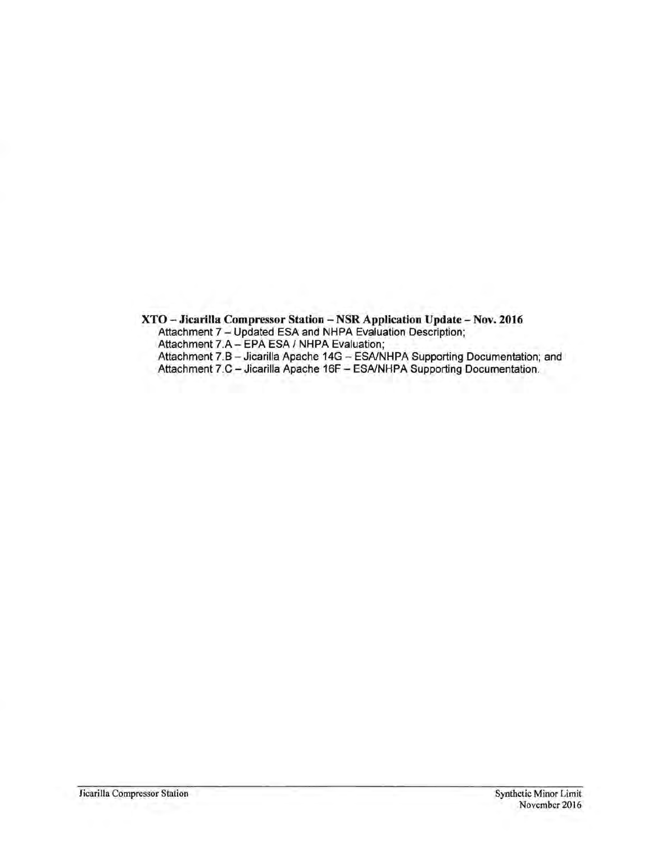XTO - Jicarilla Compressor Station - NSR Application Update - Nov. 2016 Attachment 7 - Updated ESA and NHPA Evaluation Description; Attachment 7.A - EPA ESA / NHPA Evaluation; Attachment 7.8 - Jicarilla Apache 14G - ESNNHPA Supporting Documentation; and Attachment 7.C - Jicarilla Apache 16F - ESA/NHPA Supporting Documentation.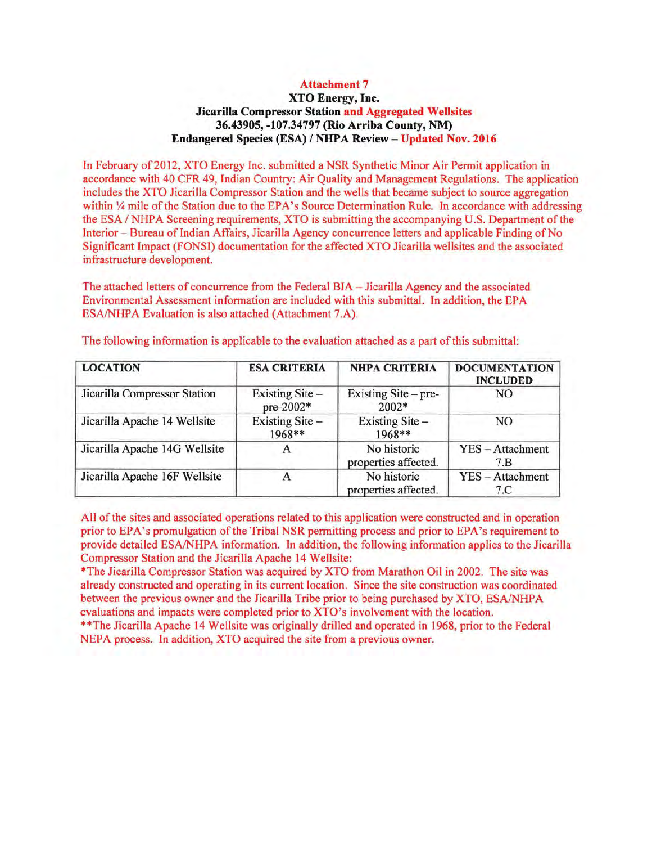#### Attachment 7

#### XTO Energy, Inc. Jicarilla Compressor Station and Aggregated Wellsites 36.43905, -107.34797 (Rio Arriba County, NM) Endangered Species (ESA) / NHPA Review - Updated Nov. 2016

In February of2012, XTO Energy Inc. submitted a NSR Synthetic Minor Air Permit application in accordance with 40 CFR 49, Indian Country: Air Quality and Management Regulations. The application includes the XTO Jicarilla Compressor Station and the wells that became subject to source aggregation within  $\frac{1}{4}$  mile of the Station due to the EPA's Source Determination Rule. In accordance with addressing the ESA / NHPA Screening requirements, XTO is submitting the accompanying U.S. Department of the Interior - Bureau of Indian Affairs, Jicarilla Agency concurrence letters and applicable Finding of No Significant Impact (FONSI) documentation for the affected XTO Jicarilla wellsites and the associated infrastructure development.

The attached letters of concurrence from the Federal BIA - Jicarilla Agency and the associated Environmental Assessment information are included with this submittal. In addition, the EPA ESA/NHPA Evaluation is also attached (Attachment 7.A).

| <b>LOCATION</b>               | <b>ESA CRITERIA</b>            | <b>NHPA CRITERIA</b>                | <b>DOCUMENTATION</b><br><b>INCLUDED</b> |  |
|-------------------------------|--------------------------------|-------------------------------------|-----------------------------------------|--|
| Jicarilla Compressor Station  | Existing Site $-$<br>pre-2002* | Existing Site – pre-<br>2002*       | NO                                      |  |
| Jicarilla Apache 14 Wellsite  | Existing Site-<br>1968**       | Existing Site-<br>1968**            | NO.                                     |  |
| Jicarilla Apache 14G Wellsite | A                              | No historic<br>properties affected. | YES - Attachment<br>7.B                 |  |
| Jicarilla Apache 16F Wellsite |                                | No historic<br>properties affected. | YES - Attachment<br>7.C                 |  |

The following information is applicable to the evaluation attached as a part ofthis submittal:

All of the sites and associated operations related to this application were constructed and in operation prior to EPA's promulgation of the Tribal NSR permitting process and prior to EPA's requirement to provide detailed ESA/NHPA information. In addition, the following information applies to the Jicarilla Compressor Station and the Jicarilla Apache 14 Wellsite:

\*The Jicarilla Compressor Station was acquired by XTO from Marathon Oil in 2002. The site was already constructed and operating in its current location. Since the site construction was coordinated between the previous owner and the Jicarilla Tribe prior to being purchased by XTO, ESA/NHPA evaluations and impacts were completed prior to XTO's involvement with the location.

\*\*The Jicarilla Apache 14 Wellsite was originally drilled and operated in 1968, prior to the Federal NEPA process. In addition, XTO acquired the site from a previous owner.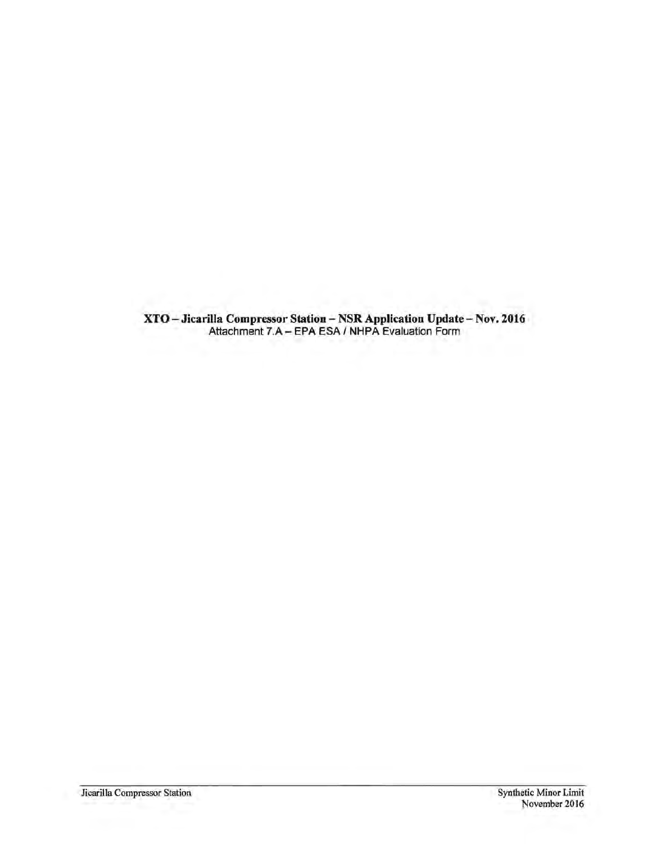XTO-Jicarilla Compressor Station-NSR Application Update-Nov. 2016 Attachment 7.A - EPA ESA I NHPA Evaluation Form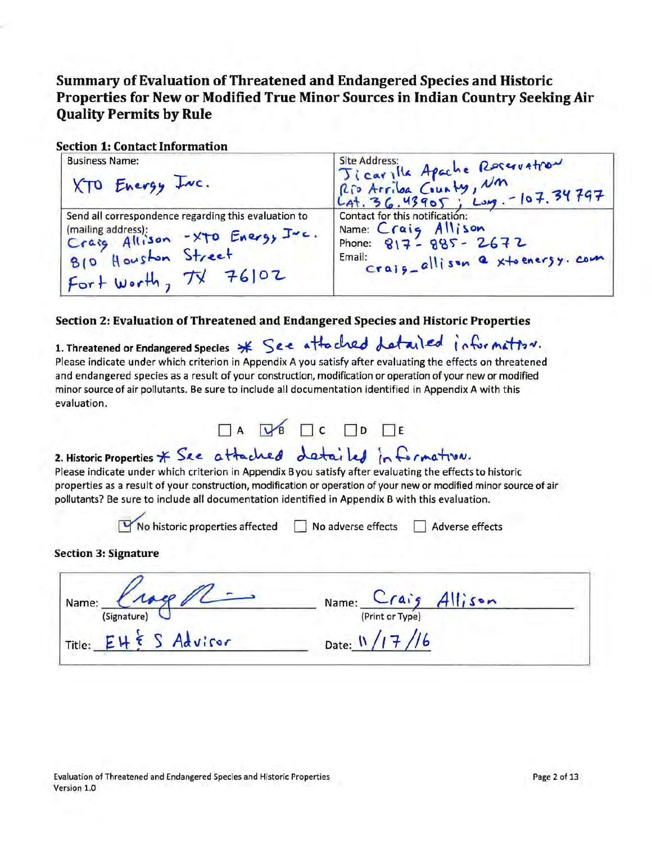## Summary of Evaluation ofThreatened and Endangered Species and Historic Properties for New or Modified True Minor Sources in Indian Country Seeking Air Quality Permits by Rule

### Section 1: Contact Information

| <b>Business Name:</b><br>XTO Energy INC.                                                                                                                   | Jicarylla Apache Roservation<br>Rio Arriba County, Nm<br>LAt. 36.43905; Long. - 107.34797                                       |
|------------------------------------------------------------------------------------------------------------------------------------------------------------|---------------------------------------------------------------------------------------------------------------------------------|
| Send all correspondence regarding this evaluation to<br>(mailing address);<br>Craig Allison -XTO Energy Juc.<br>B10 Houston Street<br>Fort worth, TX 76102 | Contact for this notification:<br>Name: Craig Allison<br>Phone: $817 - 885 - 2672$<br>Email:<br>crajg-allison a xtoenersy. com. |

### Section 2: Evaluation of Threatened and Endangered Species and Historic Properties

| evaluation.                                                                                                                                                     |                                                                                           |                                                              |  |                                                                     | 1. Threatened or Endangered Species * See attached detailed information.<br>Please indicate under which criterion in Appendix A you satisfy after evaluating the effects on threatened<br>and endangered species as a result of your construction, modification or operation of your new or modified<br>minor source of air pollutants. Be sure to include all documentation identified in Appendix A with this |  |
|-----------------------------------------------------------------------------------------------------------------------------------------------------------------|-------------------------------------------------------------------------------------------|--------------------------------------------------------------|--|---------------------------------------------------------------------|-----------------------------------------------------------------------------------------------------------------------------------------------------------------------------------------------------------------------------------------------------------------------------------------------------------------------------------------------------------------------------------------------------------------|--|
|                                                                                                                                                                 |                                                                                           | $\Box A \quad \Box B \quad \Box C \quad \Box D \quad \Box E$ |  |                                                                     |                                                                                                                                                                                                                                                                                                                                                                                                                 |  |
| 2. Historic Properties * See attached detailed in formation.<br>pollutants? Be sure to include all documentation identified in Appendix B with this evaluation. | $\nabla$ No historic properties affected $\Box$ No adverse effects $\Box$ Adverse effects |                                                              |  |                                                                     | Please indicate under which criterion in Appendix B you satisfy after evaluating the effects to historic<br>properties as a result of your construction, modification or operation of your new or modified minor source of air                                                                                                                                                                                  |  |
| <b>Section 3: Signature</b>                                                                                                                                     |                                                                                           |                                                              |  |                                                                     |                                                                                                                                                                                                                                                                                                                                                                                                                 |  |
| Name: Crace<br>(Signatur                                                                                                                                        | Title: EH & S Advisor                                                                     |                                                              |  | Name: $\frac{C_f a_i^2}{(Print or Type)}$ Allison<br>Date: 1 /17/16 |                                                                                                                                                                                                                                                                                                                                                                                                                 |  |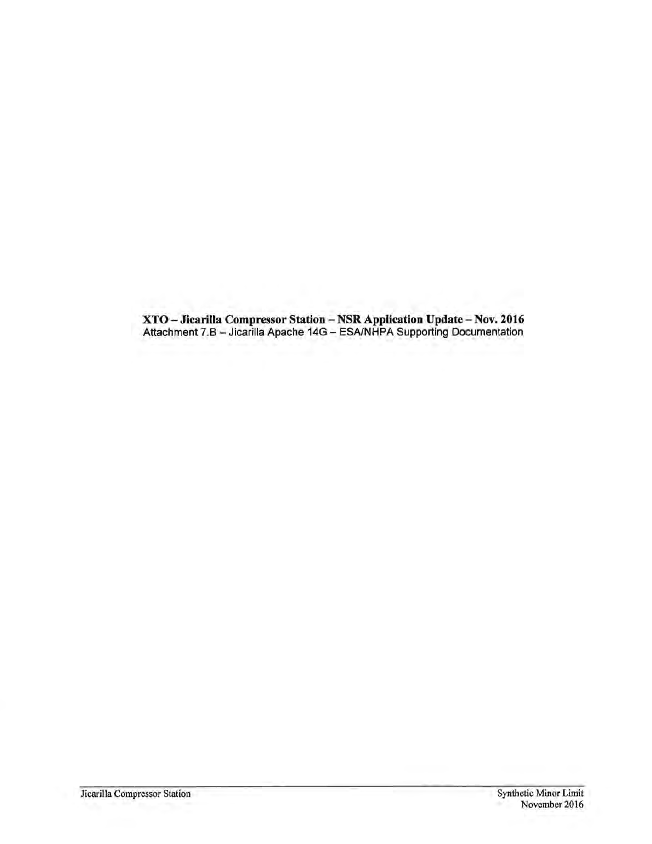XTO-Jicarilla Compressor Station - NSR Application Update -Nov. 2016 Attachment 7.B - Jicarilla Apache 14G - ESA/NHPA Supporting Documentation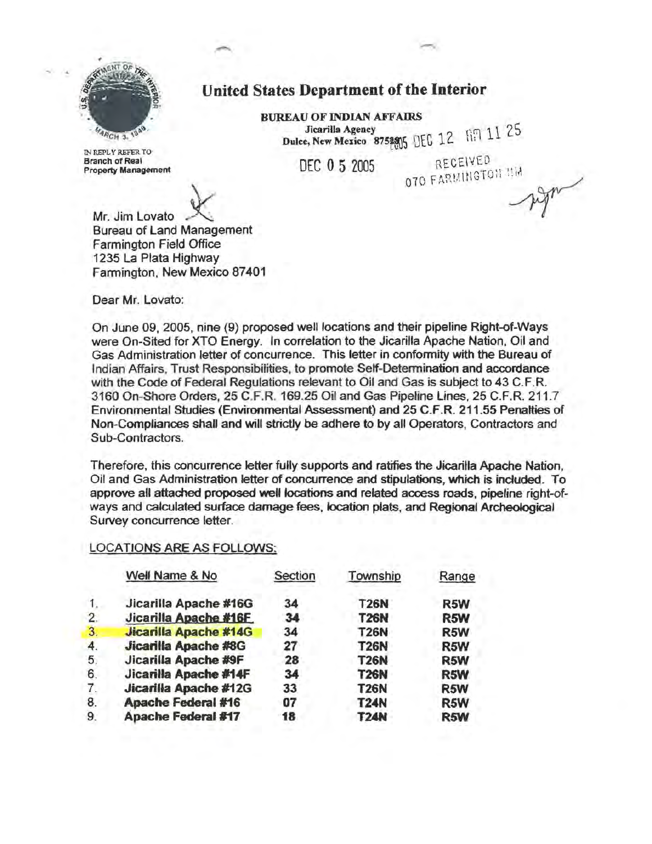

IN REPLY REFER TO **Branch of Real<br>Property Management** 

Mr. Jim Lovato Bureau of Land Management Farmington Field Office 1235 La Plata Highway Farmington, New Mexico 87401

RECEIVED **OTO FARMINGTON NM** 

Jicarilla Agency  $\frac{12}{12}$  69 11 25

Dulce, New Mexico 875 $205$  DEC 12.  $11.1$ 

Dear Mr. Lovato:

On June 09, 2005, nine (9) proposed well locations and their pipeline Right-of-Ways were On-Sited for XTO Energy. In correlation to the Jicarilla Apache Nation, Oil and Gas Administration letter of concurrence. This letter in conformity with the Bureau of Indian Affairs, Trust Responsibilities. to promote Sett-Determination and accordance with the Code of Federal Regulations relevant to Oil and Gas is subject to 43 C.F.R. 3160 On-Shore Orders, 25 C.F.R. 169.25 Oil and Gas Pipeline Lines, 25 C.F.R. 211.7 Environmental Studies (Environmental Assessment) and 25 C.F.R. 211.55 Penalties of Non-Compliances shall and will strictly be adhere to by all Operators, Contractors and Sub-Contractors.

United States Department of the Interior

BUREAU OF INDIAN AFFAIRS

DEC 0 5 2005

Therefore, this concurrence letter fully supports and ratifies the Jicarilla Apache Nation, Oil and Gas Administration letter of concurrence and stipulations, which is included. To approve all attached proposed well locations and related access roads, pipeline right-ofways and calculated surface damage fees, location plats, and Regional Archeological Survey concurrence letter.

#### LOCATIONS ARE AS FOLLOWS:

|    | Well Name & No               | Section | Township    | Range |
|----|------------------------------|---------|-------------|-------|
|    | Jicarilla Apache #16G        | 34      | T26N        | R5W   |
| 2. | Jicarilla Apache #16F        | 34      | <b>T26N</b> | R5W   |
| 3. | <b>Jicarilla Apache #14G</b> | 34      | <b>T26N</b> | R5W   |
| 4. | <b>Jicarilla Apache #8G</b>  | 27      | <b>T26N</b> | R5W   |
| 5. | Jicarilla Apache #9F         | 28      | <b>T26N</b> | R5W   |
| 6. | Jicarilla Apache #14F        | 34      | <b>T26N</b> | R5W   |
| 7. | Jicarilla Apache #12G        | 33      | <b>T26N</b> | R5W   |
| 8. | <b>Apache Federal #16</b>    | 07      | <b>T24N</b> | R5W   |
| 9. | <b>Apache Federal #17</b>    | 18      | <b>T24N</b> | R5W   |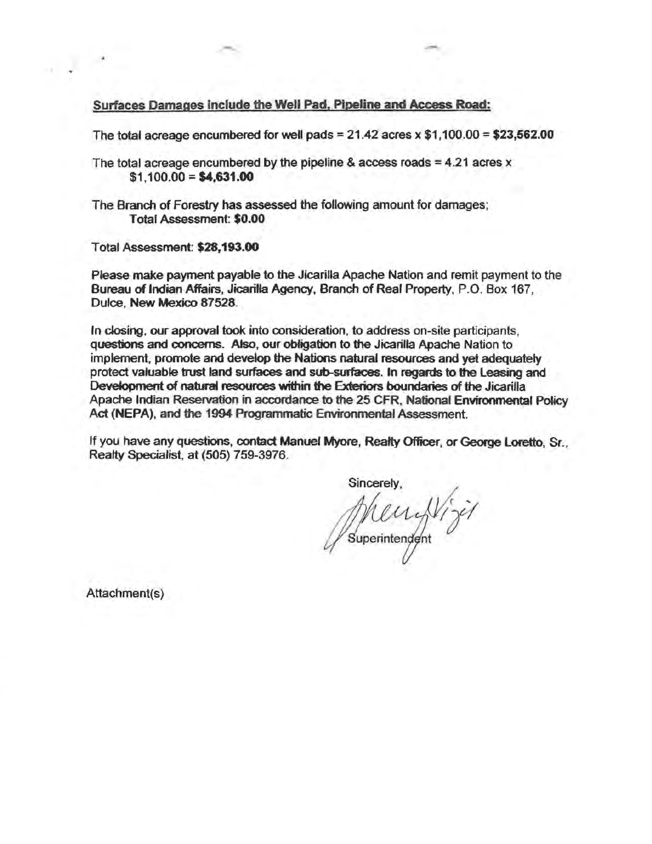#### Surfaces Damages include the Well Pad, Pipeline and Access Road:

The total acreage encumbered for well pads =  $21.42$  acres x  $$1,100.00 = $23,562.00$ 

The total acreage encumbered by the pipeline & access roads  $=4.21$  acres x  $$1,100.00 = $4,631.00$ 

The Branch of Forestry has assessed the following amount for damages; Total Assessment: \$0.00

Total Assessment: \$28,193.00

Please make payment payable to the Jicarilla Apache Nation and remit payment to the Bureau of Indian Affairs, Jicariffa Agency, Branch of Real Property, P.O. Box 167, Dulce, New Mexico 87528.

In closing, our approval took into consideration, to address on-site participants, questions and concerns. Also, our obligation to the Jicarilla Apache Nation to implement, promote and develop the Nations natural resources and yet adequately protect valuable trust land surfaces and sub-surfaces. In regards to the Leasing and Development of natural resources within the Exteriors boundaries of the Jicarilla Apache Indian Reservation in accordance to the 25 CFR, National Environmental Poltcy Act (NEPA), and the 1994 Programmatic Environmental Assessment.

If you have any questions, contact Manuel Myore, Realty Officer, or George Loretto, Sr., Realty Specialist, at (505) 759-3976.

Sincerely. uperintendent

Attachment(s)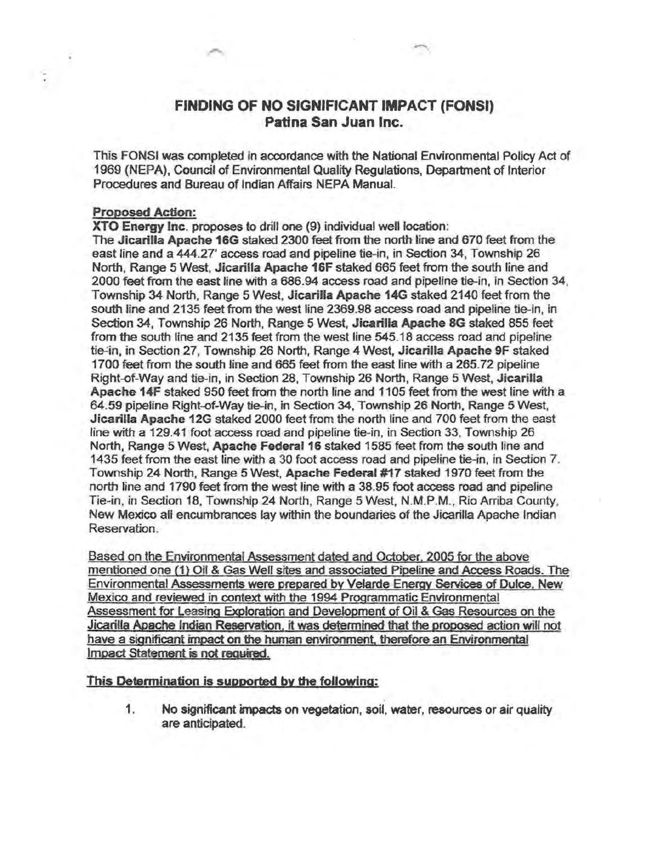### FINDING OF NO SIGNIFICANT IMPACT (FONSI) Patina San Juan Inc.

This FONSI was completed in accordance with the National Environmental Policy Act of 1969 (NEPA), Council of Environmental Quality Regulations, Department of Interior Procedures and Bureau of Indian Affairs NEPA Manual.

#### Proposed Action:

XTO Energy Inc. proposes to drill one (9) individual well location:

The Jicarilla Apache 16G staked 2300 feet from the north line and 670 feet from the east line and a 444.27' access road and pipeline tie-in, in Section 34, Township 26 North, Range 5 West, Jicarilla Apache 16F staked 665 feet from the south line and 2000 feet from the east line with a 686.94 access road and pipeline tie-in, in Section 34, Township 34 North, Range 5 West, Jicarifla Apache 14G staked 2140 feet from the south line and 2135 feet from the west line 2369.98 access road and pipetine tie-in, in Section 34, Township 26 North, Range 5 West, Jicarilla Apache 8G staked 855 feet from the south line and 2135 feet from the west line 545.18 access road and pipeline tie-in, in Section 27, Township 26 North, Range 4 West, Jicarilla Apache 9F staked 1700 feet from the south line and 685 feet from the east line with a 265.72 pipeline Right-of-Way and tie-in, in Section 28, Township 26 North, Range 5 West, Jicarilla Apache 14F staked 950 feet from the north line and 1105 feet from the west line with a 64.59 pipeline Right-of-Way tie-in, in Section 34, Township 26 North, Range 5 West, Jicarilla Apache 12G staked 2000 feet from the north line and 700 feet from the east line with a 129.41 foot access road and pipeline tie-in, in Section 33, Township 26 North, Range 5 West, Apache Federal 16 staked 1585 feet from the south line and 1435 feet from the east line with a 30 foot access road and pipeline tie-in, in Section 7. Township 24 North. Range 5 West, Apache Federal #17 staked 1970 feet from the north line and 1790 feet from the west line with a 38.95 foot access read and pipeline Tie-in, in Section 18, Township 24 North, Range 5 West, N.M.P.M., Rio Arriba County, New Mexico all encumbrances lay within the boundaries of the Jicarilla Apache Indian Reservation.

Based on the Environmental Assessment dated and October, 2005 for the above mentioned one (1) Oil & Gas Well sites and associated Pipeline and Access Roads. The Environmental Assessments were prepared by Velarde Energy Services of Dulce, New Mexjco and reviewed in context with the 1994 Programmatic Environmental Assessment for Leasing Exoloration and Development of Oil & Gas Resources on the Jicarilla Apache Indian Reservation, it was determined that the proposed action will not have a significant impact on the human environment. therefore an Environmental Impact Statement is not required.

#### This Determination is supported by the following:

1. No significant impacts on vegetation, soil, water, resources or air quality are anticipated.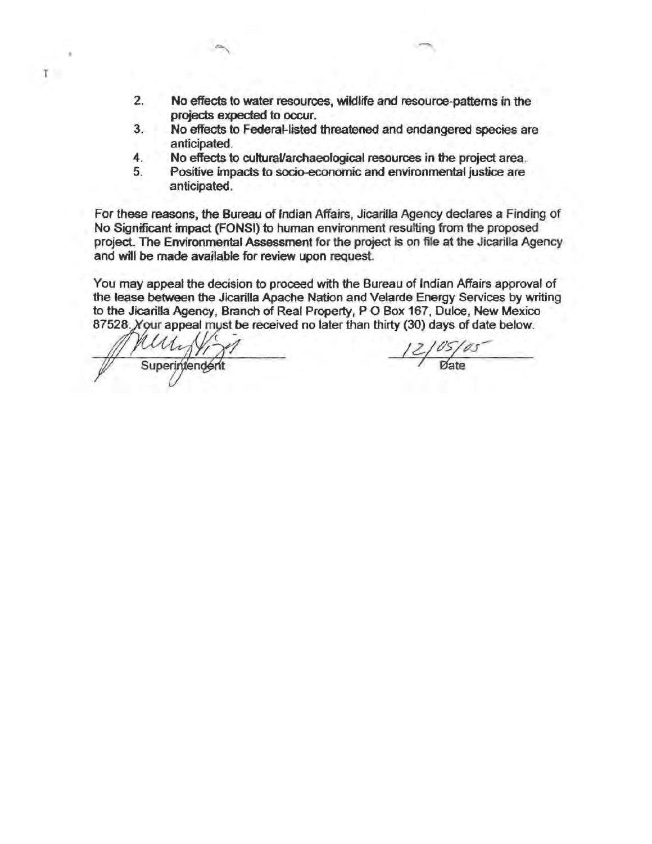- 2. No effects to water resources, wildlife and resource-patterns in the projects expected to occur.
- 3. No effects to Federal-listed threatened and endangered species are anticipated.
- 4. No effects to cultural/archaeological resources in the project area.
- 5. Positive impacts to socio-economic and environmental justice are anticipated.

For these reasons, the Bureau of Indian Affairs, Jicarilla Agency deciares a Finding of No Significant impact (FONSI) to human environment resulting from the proposed project. The Environmental Assessment for the project is on file at the Jicarilla Agency and will be made available for review upon request

You may appeal the decision to proceed with the Bureau of Indian Affairs approval of the lease between the Jicarilla Apache Nation and Velarde Energy Services by writing to the Jicarilla Agency, Branch of Real Property, P O Box 167, Dulce, New Mexico 87528. Your appeal must be received no later than thirty (30) days of date below.

Mun Virgil 12/05/05

l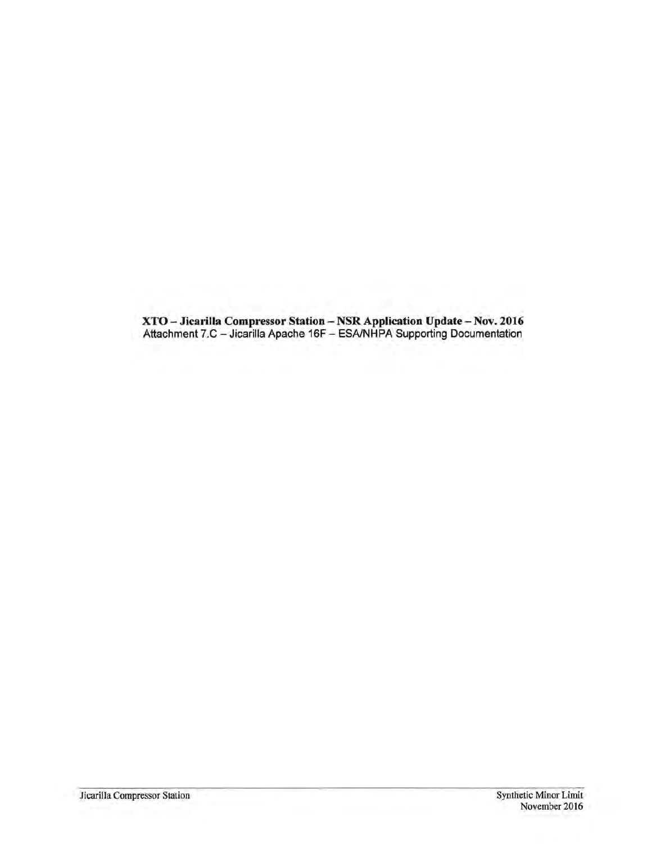XTO-Jicarilla Compressor Station - NSR Application Update - Nov. 2016 Attachment 7.C - Jicarilla Apache 16F - ESA/NHPA Supporting Documentation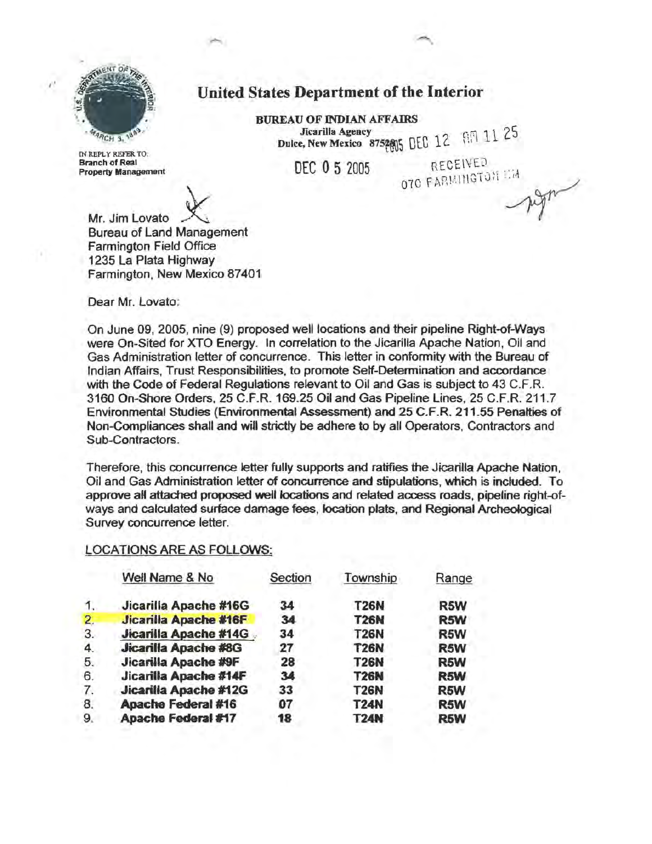

IN REPLY REFER TO: Branch of Real

# United States Department of the Interior

BUREAU OF INDIAN AFFAIRS Jicarilla Agency  $\frac{1}{2}$  6  $\frac{1}{2}$  6  $\frac{1}{2}$  5 Dulce, New Mexico  $8752805$  DEC 12.

DEC 0 5 2005

RECEIVED **OTO FARMINGTON LIA** 

Mr. Jim Lovato<br>Bureau of Land Management Farmington Field Office 1235 La Plata Highway Farmington, New Mexico 87401

Dear Mr. Lovato:

On June 09, 2005, nine (9) proposed well locations and their pipeline Right-of-Ways were On-Sited for XTO Energy. In correlation to the Jicarilla Apache Nation, Oil and Gas Administration letter of concurrence. This letter in conformity with the Bureau of Indian Affairs, Trust Responsibilities, to promote Self-Determination and accordance with the Code of Federal Regulations relevant to Oil and Gas is subject to 43 C.F.R. 3160 On-Shore Orders, 25 C.F.R. 169.25 Oil and Gas Pipeline Lines, 25 C.F.R. 211.7 Environmental Studies (Environmental Assessment) and 25 C.F.R. 211.55 Penalties of Non-Compliances shall and will strictly be adhere to by all Operators, Contractors and Sub-Contractors.

Therefore, this concurrence letter fully supports and ratifies the Jicarilla Apache Nation, Oil and Gas Administration letter of concurrence and stipulations, which is included. To approve aH attached proposed well locations and related access roads, pipeline right-ofways and calculated surface damage fees, location plats, and Regional Archeological Survey concurrence letter.

#### LOCATIONS ARE AS FOLLOWS:

|                | Well Name & No              | Section | Township    | Range |
|----------------|-----------------------------|---------|-------------|-------|
| 1.             | Jicarilla Apache #16G       | 34      | <b>T26N</b> | R5W   |
| $\overline{2}$ | Jicarilla Apache #16F       | 34      | <b>T26N</b> | R5W   |
| 3.             | Jicarilla Apache #14G       | 34      | <b>T26N</b> | R5W   |
| 4.             | <b>Jicarilla Apache #8G</b> | 27      | <b>T26N</b> | R5W   |
| 5.             | Jicarilla Apache #9F        | 28      | <b>T26N</b> | R5W   |
| 6.             | Jicarilla Apache #14F       | 34      | <b>T26N</b> | R5W   |
| 7.             | Jicarilla Apache #12G       | 33      | <b>T26N</b> | R5W   |
| 8.             | <b>Apache Federal #16</b>   | 07      | <b>T24N</b> | R5W   |
| 9              | Apache Federal #17          | 18      | <b>T24N</b> | R5W   |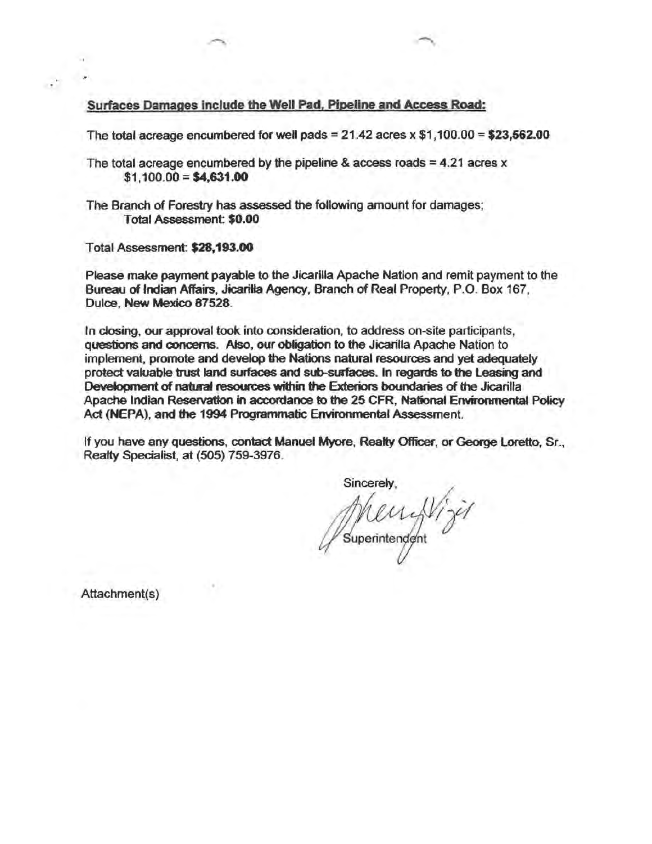Surfaces Damages include the Well Pad, Pipeline and Access Road:

The total acreage encumbered for well pads =  $21.42$  acres x  $$1,100.00 = $23,562.00$ 

The total acreage encumbered by the pipeline & access roads  $= 4.21$  acres x  $$1,100.00 = $4,631.00$ 

The Branch of Forestry has assessed the following amount for damages; Total Assessment: \$0.00

Total Assessment: \$28,193.00

 $\cdot$  .

Please make payment payable to the Jicarilla Apache Nation and remit payment to the Bureau of Indian Affairs, Jicariffa Agency, Branch of Real Property, P.O. Box 167, Dulce, New Mexico 87528.

In closing, our approval took into consideration, to address on-site participants, questions and concerns. Atso, our obligation to the Jicarilla Apache Nation to implement, promote and develop the Nations natural resources and yet adequately protect valuable trust land surfaces and sub-surfaces. In regards to the leasing and Development of natural resources within the Exteriors boundaries of the Jicarilla Apache Indian Reservation in accordance to the 25 CFR, National Environmental Policy Act (NEPA), and the 1994 Programmatic Environmental Assessment.

If you have any questions, contact Manuel Myore, Realty Officer, or George Loretto, Sr., Realty Specialist, at (505} 759-3976.

Sincerely, uperintendent

Attachment(s)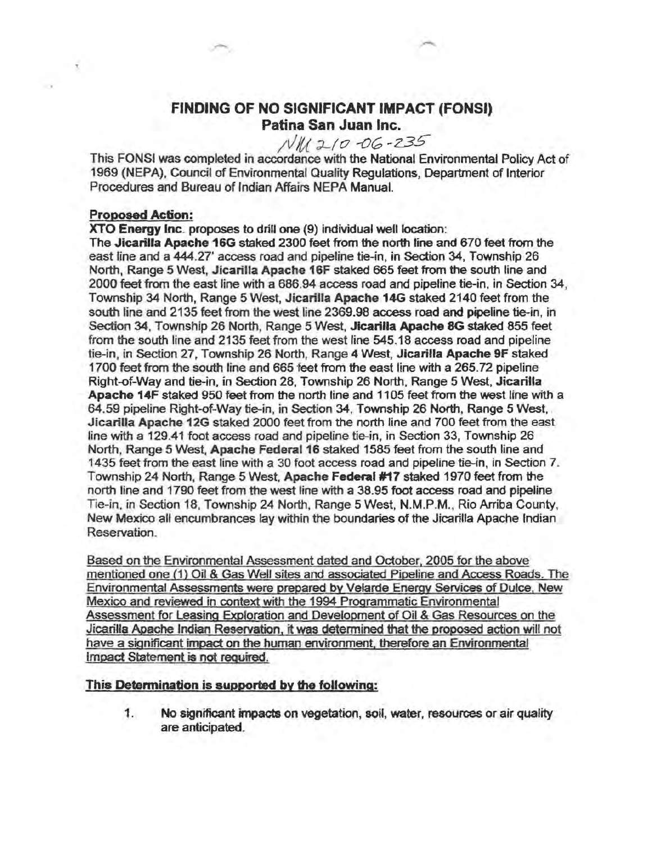## FINDING OF NO SIGNIFICANT IMPACT (FONSI) Patina San Juan Inc.

# ;t//(;{ :J-1*o* -or; -Z3S

This FONSI was completed in accordance with the National Environmental Policy Act of 1969 (NEPA). Council of Environmental Quality Regulations, Department of Interior Procedures and Bureau of Indian Affairs NEPA Manual.

#### Proposed Action:

×.

XTO Energy Inc. proposes to drill one (9) individual well location:

The Jicarilla Apache 16G staked 2300 feet from the north line and 670 feet from the east line and a 444.27' access road and pipeline tie-in, in Section 34, Township 26 North, Range 5 West, Jicarilla Apache 16F staked 665 feet from the south line and 2000 feet from the east line with a 686.94 access road and pipeline tie-in, in Section 34, Township 34 North, Range 5 West, Jicarilla Apache 14G staked 2140 feet from the south line and 2135 feet from the west line 2369.98 access road and pipeline tie-in, in Section 34, Township 26 North, Range 5 West, Jicarilla Apache 8G staked 855 feet from the south line and 2135 feet from the west line 545.18 access road and pipeline tie-in, in Section 27, Township 26 North, Range 4 West, Jicarilla Apache 9F staked 1700 feet from the south line and 665 feet from the east line with a 265.72 pipeline Right-of-Way and tie-in, in Section 28, Township 26 North, Range 5 West, Jicarilla Apache 14F staked 950 feet from the north line and 1105 feet from the west line with a 64.59 pipeline Right-of-Way tie-in, in Section 34, Township 26 North, Range 5 West, . Jicarilla Apache 12G staked 2000 feet from the north line and 700 feet from the east line with a 129.41 foot access road and pipeline tie-in, in Section 33, Township 26 North, Range 5 West, Apache Federal 16 staked 1585 feet from the south line and 1435 feet from the east line with a 30 foot access road and pipeline tie-in, in Section 7. Township 24 North, Range 5 West, Apache Federal #17 staked 1970 feet from the north line and 1790 feet from the west line with a 38.95 foot access road and pipeline Tie-in, in Section 18, Township 24 North, Range 5 West, N.M.P.M., Rio Arriba County, New Mexico all encumbrances lay within the boundaries of the Jicarilla Apache Indian Reservation.

Based on the Environmental Assessment dated and October. 2005 for the above mentioned one (1) Oil & Gas Well sites and associated Pipeline and Access Roads. The Environmental Assessments were prepared by Velarde Energy Services of Dulce. New Mexico and reviewed in context with the 1994 Programmatic Environmental Assessment for Leasing Exploration and Development of Oil & Gas Resources on the Jicarilla Apache Indian Reservation. it was determined that the proposed action will not have a significant impact on the human environment. therefore an Environmental Impact Statement is not required.

This Determination is supported by the following:

1. No significant impacts on vegetation, soil, water, resources or air quality are anticipated.